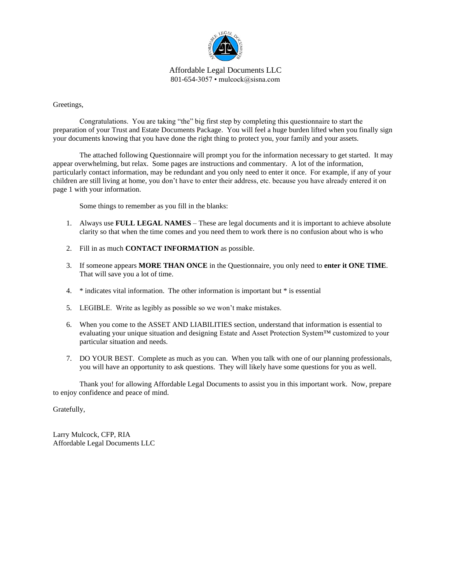

Affordable Legal Documents LLC 801-654-3057 • mulcock@sisna.com

Greetings,

Congratulations. You are taking "the" big first step by completing this questionnaire to start the preparation of your Trust and Estate Documents Package. You will feel a huge burden lifted when you finally sign your documents knowing that you have done the right thing to protect you, your family and your assets.

The attached following Questionnaire will prompt you for the information necessary to get started. It may appear overwhelming, but relax. Some pages are instructions and commentary. A lot of the information, particularly contact information, may be redundant and you only need to enter it once. For example, if any of your children are still living at home, you don't have to enter their address, etc. because you have already entered it on page 1 with your information.

Some things to remember as you fill in the blanks:

- 1. Always use **FULL LEGAL NAMES** These are legal documents and it is important to achieve absolute clarity so that when the time comes and you need them to work there is no confusion about who is who
- 2. Fill in as much **CONTACT INFORMATION** as possible.
- 3. If someone appears **MORE THAN ONCE** in the Questionnaire, you only need to **enter it ONE TIME**. That will save you a lot of time.
- 4. \* indicates vital information. The other information is important but \* is essential
- 5. LEGIBLE. Write as legibly as possible so we won't make mistakes.
- 6. When you come to the ASSET AND LIABILITIES section, understand that information is essential to evaluating your unique situation and designing Estate and Asset Protection System™ customized to your particular situation and needs.
- 7. DO YOUR BEST. Complete as much as you can. When you talk with one of our planning professionals, you will have an opportunity to ask questions. They will likely have some questions for you as well.

Thank you! for allowing Affordable Legal Documents to assist you in this important work. Now, prepare to enjoy confidence and peace of mind.

Gratefully,

Larry Mulcock, CFP, RIA Affordable Legal Documents LLC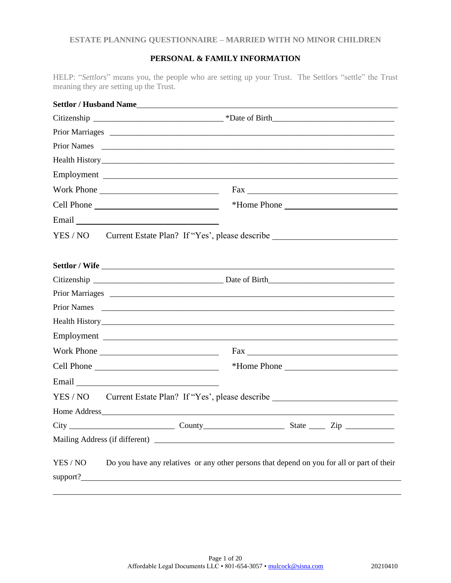# **PERSONAL & FAMILY INFORMATION**

HELP: "*Settlors*" means you, the people who are setting up your Trust. The Settlors "settle" the Trust meaning they are setting up the Trust.

| <b>Prior Names</b> |            | <u> 1999 - Jan James James James James James James James James James James James James James James James James J</u> |
|--------------------|------------|----------------------------------------------------------------------------------------------------------------------|
|                    |            |                                                                                                                      |
|                    |            |                                                                                                                      |
|                    |            |                                                                                                                      |
|                    |            |                                                                                                                      |
|                    |            |                                                                                                                      |
|                    |            | YES / NO Current Estate Plan? If "Yes', please describe ________________________                                     |
|                    |            |                                                                                                                      |
|                    |            |                                                                                                                      |
|                    |            |                                                                                                                      |
|                    |            |                                                                                                                      |
|                    |            |                                                                                                                      |
|                    |            |                                                                                                                      |
|                    |            |                                                                                                                      |
|                    | Work Phone |                                                                                                                      |
|                    |            | *Home Phone                                                                                                          |
|                    |            |                                                                                                                      |
|                    |            | YES / NO Current Estate Plan? If "Yes', please describe ________________________                                     |
|                    |            |                                                                                                                      |
|                    |            |                                                                                                                      |
|                    |            |                                                                                                                      |
| YES / NO           |            | Do you have any relatives or any other persons that depend on you for all or part of their                           |
| support?_          |            |                                                                                                                      |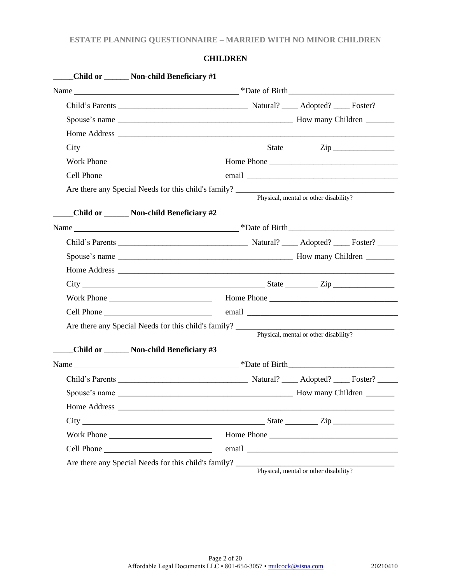# **CHILDREN**

| Child or _______ Non-child Beneficiary #1                                                                                                                                                                                      |                                                 |                                       |  |
|--------------------------------------------------------------------------------------------------------------------------------------------------------------------------------------------------------------------------------|-------------------------------------------------|---------------------------------------|--|
|                                                                                                                                                                                                                                |                                                 |                                       |  |
|                                                                                                                                                                                                                                |                                                 |                                       |  |
|                                                                                                                                                                                                                                |                                                 |                                       |  |
|                                                                                                                                                                                                                                |                                                 |                                       |  |
| $City$ $City$ $Step$ $Line$                                                                                                                                                                                                    |                                                 |                                       |  |
|                                                                                                                                                                                                                                |                                                 |                                       |  |
| Cell Phone email email experience and the contract of the contract of the contract of the contract of the contract of the contract of the contract of the contract of the contract of the contract of the contract of the cont |                                                 |                                       |  |
|                                                                                                                                                                                                                                |                                                 | Physical, mental or other disability? |  |
| Child or _______ Non-child Beneficiary #2                                                                                                                                                                                      |                                                 |                                       |  |
|                                                                                                                                                                                                                                |                                                 |                                       |  |
|                                                                                                                                                                                                                                |                                                 |                                       |  |
|                                                                                                                                                                                                                                |                                                 |                                       |  |
|                                                                                                                                                                                                                                |                                                 |                                       |  |
|                                                                                                                                                                                                                                |                                                 |                                       |  |
| Cell Phone email email email email experience and the contract of the contract of the contract of the contract of the contract of the contract of the contract of the contract of the contract of the contract of the contract |                                                 |                                       |  |
|                                                                                                                                                                                                                                |                                                 | Physical, mental or other disability? |  |
| Child or _______ Non-child Beneficiary #3                                                                                                                                                                                      |                                                 |                                       |  |
|                                                                                                                                                                                                                                |                                                 |                                       |  |
|                                                                                                                                                                                                                                |                                                 |                                       |  |
|                                                                                                                                                                                                                                |                                                 |                                       |  |
|                                                                                                                                                                                                                                |                                                 |                                       |  |
| $City \qquad \qquad \qquad \qquad$                                                                                                                                                                                             |                                                 | State <u>Zip</u>                      |  |
| Work Phone                                                                                                                                                                                                                     |                                                 |                                       |  |
| Cell Phone                                                                                                                                                                                                                     | email <u>__________________________________</u> |                                       |  |
| Are there any Special Needs for this child's family?                                                                                                                                                                           |                                                 | Physical, mental or other disability? |  |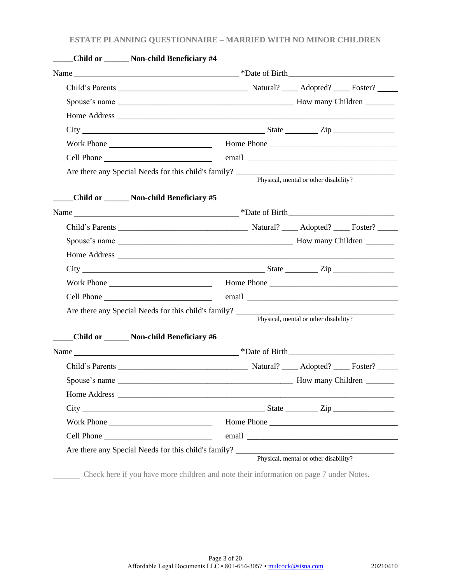| Child or _______ Non-child Beneficiary #4 |                                                                                                                                                                                                                                |                                       |  |
|-------------------------------------------|--------------------------------------------------------------------------------------------------------------------------------------------------------------------------------------------------------------------------------|---------------------------------------|--|
|                                           |                                                                                                                                                                                                                                |                                       |  |
|                                           |                                                                                                                                                                                                                                |                                       |  |
|                                           |                                                                                                                                                                                                                                |                                       |  |
|                                           |                                                                                                                                                                                                                                |                                       |  |
| $City$ $City$ $Step$ $Zip$                |                                                                                                                                                                                                                                |                                       |  |
|                                           |                                                                                                                                                                                                                                |                                       |  |
|                                           | email entrance and the contract of the contract of the contract of the contract of the contract of the contract of the contract of the contract of the contract of the contract of the contract of the contract of the contrac |                                       |  |
|                                           |                                                                                                                                                                                                                                | Physical, mental or other disability? |  |
| Child or ______ Non-child Beneficiary #5  |                                                                                                                                                                                                                                |                                       |  |
|                                           |                                                                                                                                                                                                                                |                                       |  |
|                                           |                                                                                                                                                                                                                                |                                       |  |
|                                           |                                                                                                                                                                                                                                |                                       |  |
|                                           |                                                                                                                                                                                                                                |                                       |  |
| $City$ $City$ $Step$ $Zip$                |                                                                                                                                                                                                                                |                                       |  |
|                                           |                                                                                                                                                                                                                                |                                       |  |
|                                           |                                                                                                                                                                                                                                |                                       |  |
|                                           |                                                                                                                                                                                                                                | Physical, mental or other disability? |  |
| Child or _______ Non-child Beneficiary #6 |                                                                                                                                                                                                                                |                                       |  |
|                                           |                                                                                                                                                                                                                                |                                       |  |
|                                           |                                                                                                                                                                                                                                |                                       |  |
|                                           |                                                                                                                                                                                                                                |                                       |  |
|                                           |                                                                                                                                                                                                                                |                                       |  |
|                                           |                                                                                                                                                                                                                                |                                       |  |
|                                           | Home Phone                                                                                                                                                                                                                     |                                       |  |
| Work Phone                                |                                                                                                                                                                                                                                |                                       |  |

Check here if you have more children and note their information on page 7 under Notes.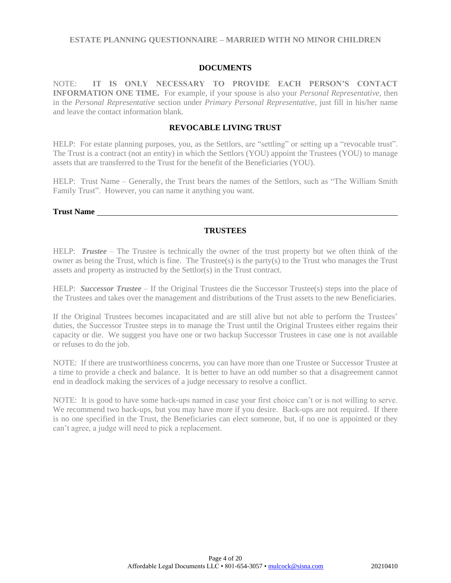### **DOCUMENTS**

NOTE: **IT IS ONLY NECESSARY TO PROVIDE EACH PERSON'S CONTACT INFORMATION ONE TIME.** For example, if your spouse is also your *Personal Representative*, then in the *Personal Representative* section under *Primary Personal Representative,* just fill in his/her name and leave the contact information blank.

## **REVOCABLE LIVING TRUST**

HELP: For estate planning purposes, you, as the Settlors, are "settling" or setting up a "revocable trust". The Trust is a contract (not an entity) in which the Settlors (YOU) appoint the Trustees (YOU) to manage assets that are transferred to the Trust for the benefit of the Beneficiaries (YOU).

HELP: Trust Name – Generally, the Trust bears the names of the Settlors, such as "The William Smith Family Trust". However, you can name it anything you want.

**Trust Name**

## **TRUSTEES**

HELP: *Trustee* – The Trustee is technically the owner of the trust property but we often think of the owner as being the Trust, which is fine. The Trustee(s) is the party(s) to the Trust who manages the Trust assets and property as instructed by the Settlor(s) in the Trust contract.

HELP: *Successor Trustee* – If the Original Trustees die the Successor Trustee(s) steps into the place of the Trustees and takes over the management and distributions of the Trust assets to the new Beneficiaries.

If the Original Trustees becomes incapacitated and are still alive but not able to perform the Trustees' duties, the Successor Trustee steps in to manage the Trust until the Original Trustees either regains their capacity or die. We suggest you have one or two backup Successor Trustees in case one is not available or refuses to do the job.

NOTE: If there are trustworthiness concerns, you can have more than one Trustee or Successor Trustee at a time to provide a check and balance. It is better to have an odd number so that a disagreement cannot end in deadlock making the services of a judge necessary to resolve a conflict.

NOTE: It is good to have some back-ups named in case your first choice can't or is not willing to serve. We recommend two back-ups, but you may have more if you desire. Back-ups are not required. If there is no one specified in the Trust, the Beneficiaries can elect someone, but, if no one is appointed or they can't agree, a judge will need to pick a replacement.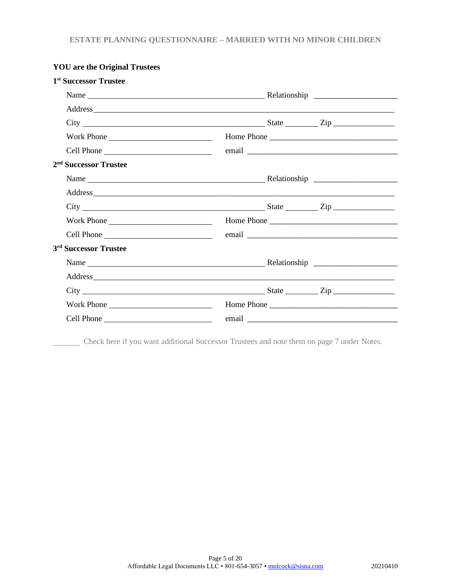| 1 <sup>st</sup> Successor Trustee                                                                                                                                             |  |
|-------------------------------------------------------------------------------------------------------------------------------------------------------------------------------|--|
|                                                                                                                                                                               |  |
|                                                                                                                                                                               |  |
| $City$ $\rule{0.1cm}{0.1cm}$ $\rule{0.1cm}{0.1cm}$ $\qquad \qquad \text{State}$ $\rule{0.1cm}{0.1cm}$ $\qquad \qquad \text{City}$ $\rule{0.1cm}{0.1cm}$ $\rule{0.1cm}{0.1cm}$ |  |
|                                                                                                                                                                               |  |
|                                                                                                                                                                               |  |
| 2 <sup>nd</sup> Successor Trustee                                                                                                                                             |  |
|                                                                                                                                                                               |  |
|                                                                                                                                                                               |  |
| $City$ $City$ $Step$ $Line$                                                                                                                                                   |  |
|                                                                                                                                                                               |  |
|                                                                                                                                                                               |  |
| 3 <sup>rd</sup> Successor Trustee                                                                                                                                             |  |
|                                                                                                                                                                               |  |
|                                                                                                                                                                               |  |
| $City$ $City$ $Step$ $Line$                                                                                                                                                   |  |
| Work Phone                                                                                                                                                                    |  |
|                                                                                                                                                                               |  |

# **YOU are the Original Trustees**

Check here if you want additional Successor Trustees and note them on page 7 under Notes.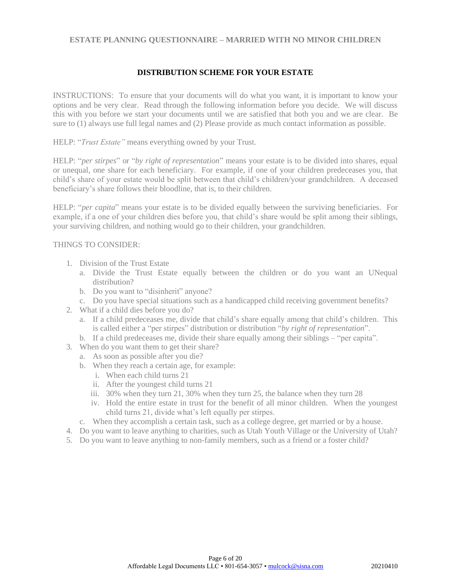## **DISTRIBUTION SCHEME FOR YOUR ESTATE**

INSTRUCTIONS: To ensure that your documents will do what you want, it is important to know your options and be very clear. Read through the following information before you decide. We will discuss this with you before we start your documents until we are satisfied that both you and we are clear. Be sure to (1) always use full legal names and (2) Please provide as much contact information as possible.

HELP: "*Trust Estate"* means everything owned by your Trust.

HELP: "*per stirpes*" or "*by right of representation*" means your estate is to be divided into shares, equal or unequal, one share for each beneficiary. For example, if one of your children predeceases you, that child's share of your estate would be split between that child's children/your grandchildren. A deceased beneficiary's share follows their bloodline, that is, to their children.

HELP: "*per capita*" means your estate is to be divided equally between the surviving beneficiaries. For example, if a one of your children dies before you, that child's share would be split among their siblings, your surviving children, and nothing would go to their children, your grandchildren.

### THINGS TO CONSIDER:

- 1. Division of the Trust Estate
	- a. Divide the Trust Estate equally between the children or do you want an UNequal distribution?
	- b. Do you want to "disinherit" anyone?
	- c. Do you have special situations such as a handicapped child receiving government benefits?
- 2. What if a child dies before you do?
	- a. If a child predeceases me, divide that child's share equally among that child's children. This is called either a "per stirpes" distribution or distribution "*by right of representation*".
- b. If a child predeceases me, divide their share equally among their siblings "per capita".
- 3. When do you want them to get their share?
	- a. As soon as possible after you die?
	- b. When they reach a certain age, for example:
		- i. When each child turns 21
		- ii. After the youngest child turns 21
		- iii. 30% when they turn 21, 30% when they turn 25, the balance when they turn 28
		- iv. Hold the entire estate in trust for the benefit of all minor children. When the youngest child turns 21, divide what's left equally per stirpes.
	- c. When they accomplish a certain task, such as a college degree, get married or by a house.
- 4. Do you want to leave anything to charities, such as Utah Youth Village or the University of Utah?
- 5. Do you want to leave anything to non-family members, such as a friend or a foster child?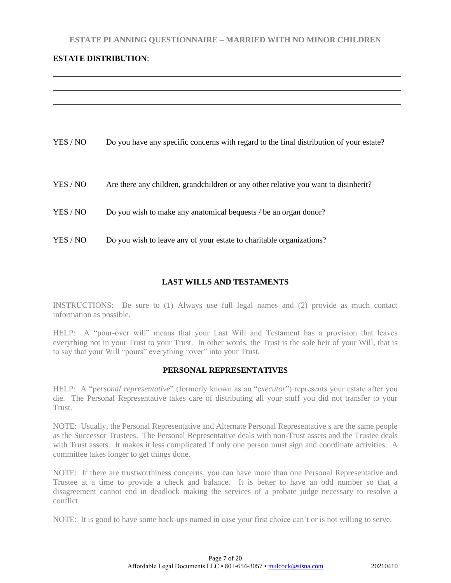## **ESTATE DISTRIBUTION**:

| YES / NO | Do you have any specific concerns with regard to the final distribution of your estate? |
|----------|-----------------------------------------------------------------------------------------|
| YES / NO | Are there any children, grandchildren or any other relative you want to disinherit?     |
| YES / NO | Do you wish to make any anatomical bequests / be an organ donor?                        |
| YES / NO | Do you wish to leave any of your estate to charitable organizations?                    |

## **LAST WILLS AND TESTAMENTS**

INSTRUCTIONS: Be sure to (1) Always use full legal names and (2) provide as much contact information as possible.

HELP: A "pour-over will" means that your Last Will and Testament has a provision that leaves everything not in your Trust to your Trust. In other words, the Trust is the sole heir of your Will, that is to say that your Will "pours" everything "over" into your Trust.

## **PERSONAL REPRESENTATIVES**

HELP: A "p*ersonal representative*" (formerly known as an "e*xecutor*") represents your estate after you die. The Personal Representative takes care of distributing all your stuff you did not transfer to your Trust.

NOTE: Usually, the Personal Representative and Alternate Personal Representative s are the same people as the Successor Trustees. The Personal Representative deals with non-Trust assets and the Trustee deals with Trust assets. It makes it less complicated if only one person must sign and coordinate activities. A committee takes longer to get things done.

NOTE: If there are trustworthiness concerns, you can have more than one Personal Representative and Trustee at a time to provide a check and balance. It is better to have an odd number so that a disagreement cannot end in deadlock making the services of a probate judge necessary to resolve a conflict.

NOTE: It is good to have some back-ups named in case your first choice can't or is not willing to serve.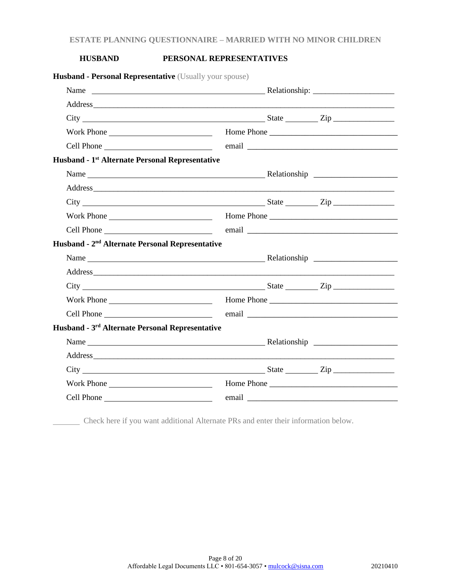## **HUSBAND PERSONAL REPRESENTATIVES**

| Husband - Personal Representative (Usually your spouse)                                      |  |  |
|----------------------------------------------------------------------------------------------|--|--|
|                                                                                              |  |  |
|                                                                                              |  |  |
|                                                                                              |  |  |
| Work Phone <b>Example 2018</b> Home Phone <b>Example 2018</b> Home Phone <b>Example 2018</b> |  |  |
|                                                                                              |  |  |
| Husband - 1 <sup>st</sup> Alternate Personal Representative                                  |  |  |
|                                                                                              |  |  |
|                                                                                              |  |  |
|                                                                                              |  |  |
|                                                                                              |  |  |
| Cell Phone                                                                                   |  |  |
| Husband - 2 <sup>nd</sup> Alternate Personal Representative                                  |  |  |
|                                                                                              |  |  |
|                                                                                              |  |  |
| $City$ $City$ $Step$ $Type$                                                                  |  |  |
|                                                                                              |  |  |
|                                                                                              |  |  |
| Husband - 3 <sup>rd</sup> Alternate Personal Representative                                  |  |  |
|                                                                                              |  |  |
|                                                                                              |  |  |
| $City$ $City$ $Step$ $Line$                                                                  |  |  |
|                                                                                              |  |  |
|                                                                                              |  |  |
|                                                                                              |  |  |

Check here if you want additional Alternate PRs and enter their information below.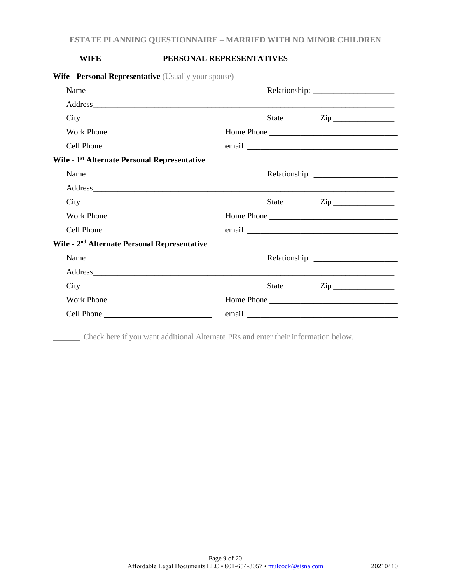## **WIFE PERSONAL REPRESENTATIVES**

| <b>Wife - Personal Representative</b> (Usually your spouse) |  |            |
|-------------------------------------------------------------|--|------------|
|                                                             |  |            |
|                                                             |  |            |
| $City$ $City$ $Step$ $Line$                                 |  |            |
|                                                             |  |            |
|                                                             |  |            |
| Wife - 1 <sup>st</sup> Alternate Personal Representative    |  |            |
|                                                             |  |            |
|                                                             |  |            |
| $City$ $City$ $Step$ $Type$                                 |  |            |
| Work Phone                                                  |  |            |
|                                                             |  |            |
| Wife - 2 <sup>nd</sup> Alternate Personal Representative    |  |            |
|                                                             |  |            |
|                                                             |  |            |
| $City$ $City$ $Step$ $Line$                                 |  |            |
| Work Phone                                                  |  | Home Phone |
|                                                             |  |            |

Check here if you want additional Alternate PRs and enter their information below.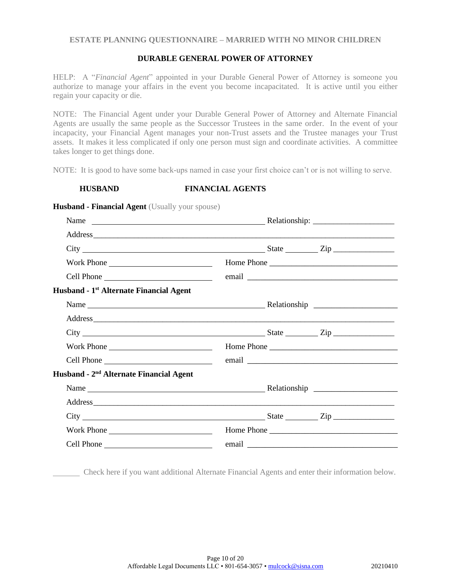## **DURABLE GENERAL POWER OF ATTORNEY**

HELP: A "*Financial Agent*" appointed in your Durable General Power of Attorney is someone you authorize to manage your affairs in the event you become incapacitated. It is active until you either regain your capacity or die.

NOTE: The Financial Agent under your Durable General Power of Attorney and Alternate Financial Agents are usually the same people as the Successor Trustees in the same order. In the event of your incapacity, your Financial Agent manages your non-Trust assets and the Trustee manages your Trust assets. It makes it less complicated if only one person must sign and coordinate activities. A committee takes longer to get things done.

NOTE: It is good to have some back-ups named in case your first choice can't or is not willing to serve.

**HUSBAND FINANCIAL AGENTS**

| $City$ $\rule{1em}{0.15mm}$ $\qquad \qquad \text{State}$ $\rule{1em}{0.15mm}$ $\qquad \qquad \text{State}$ $\rule{1em}{0.15mm}$ $\qquad \qquad \text{Zip}$ $\rule{1em}{0.15mm}$ |  |            |
|---------------------------------------------------------------------------------------------------------------------------------------------------------------------------------|--|------------|
| Work Phone                                                                                                                                                                      |  | Home Phone |
|                                                                                                                                                                                 |  |            |
| Husband - 1 <sup>st</sup> Alternate Financial Agent                                                                                                                             |  |            |
|                                                                                                                                                                                 |  |            |
|                                                                                                                                                                                 |  |            |
| $City$ $2ip$ $2ip$                                                                                                                                                              |  |            |
| Work Phone                                                                                                                                                                      |  | Home Phone |
|                                                                                                                                                                                 |  |            |
| Husband - 2 <sup>nd</sup> Alternate Financial Agent                                                                                                                             |  |            |
|                                                                                                                                                                                 |  |            |
|                                                                                                                                                                                 |  |            |
| $City$ $City$ $Step$ $Line$                                                                                                                                                     |  |            |
| Work Phone                                                                                                                                                                      |  | Home Phone |
| Cell Phone                                                                                                                                                                      |  |            |

**Husband - Financial Agent** (Usually your spouse)

Check here if you want additional Alternate Financial Agents and enter their information below.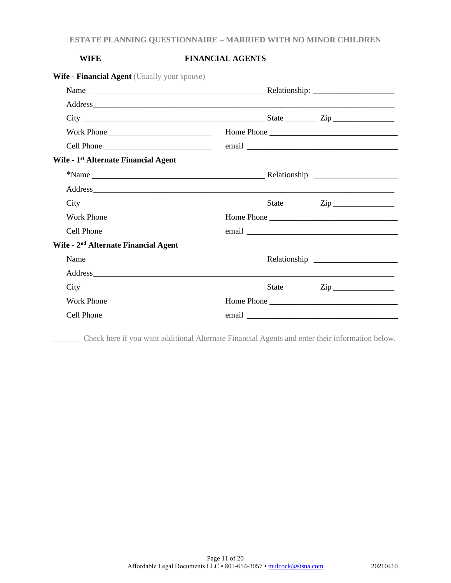# **WIFE FINANCIAL AGENTS**

| <b>Wife - Financial Agent</b> (Usually your spouse) |  |
|-----------------------------------------------------|--|
|-----------------------------------------------------|--|

|                                                  | $City$ $City$ $Step$ $Line$           |  |
|--------------------------------------------------|---------------------------------------|--|
| Work Phone                                       |                                       |  |
|                                                  |                                       |  |
| Wife - 1 <sup>st</sup> Alternate Financial Agent |                                       |  |
|                                                  |                                       |  |
|                                                  |                                       |  |
|                                                  | $\text{City}$ $\frac{1}{\text{City}}$ |  |
| Work Phone                                       | Home Phone                            |  |
|                                                  |                                       |  |
| Wife - 2 <sup>nd</sup> Alternate Financial Agent |                                       |  |
|                                                  |                                       |  |
|                                                  |                                       |  |
|                                                  |                                       |  |
| Work Phone                                       | Home Phone                            |  |
|                                                  |                                       |  |

Check here if you want additional Alternate Financial Agents and enter their information below.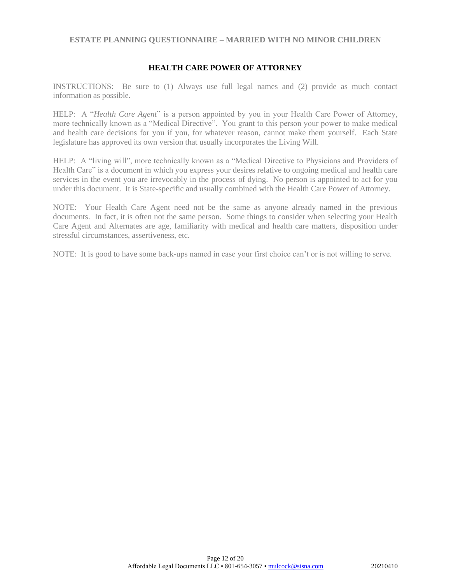## **HEALTH CARE POWER OF ATTORNEY**

INSTRUCTIONS: Be sure to (1) Always use full legal names and (2) provide as much contact information as possible.

HELP: A "*Health Care Agent*" is a person appointed by you in your Health Care Power of Attorney, more technically known as a "Medical Directive". You grant to this person your power to make medical and health care decisions for you if you, for whatever reason, cannot make them yourself. Each State legislature has approved its own version that usually incorporates the Living Will.

HELP: A "living will", more technically known as a "Medical Directive to Physicians and Providers of Health Care" is a document in which you express your desires relative to ongoing medical and health care services in the event you are irrevocably in the process of dying. No person is appointed to act for you under this document. It is State-specific and usually combined with the Health Care Power of Attorney.

NOTE: Your Health Care Agent need not be the same as anyone already named in the previous documents. In fact, it is often not the same person. Some things to consider when selecting your Health Care Agent and Alternates are age, familiarity with medical and health care matters, disposition under stressful circumstances, assertiveness, etc.

NOTE: It is good to have some back-ups named in case your first choice can't or is not willing to serve.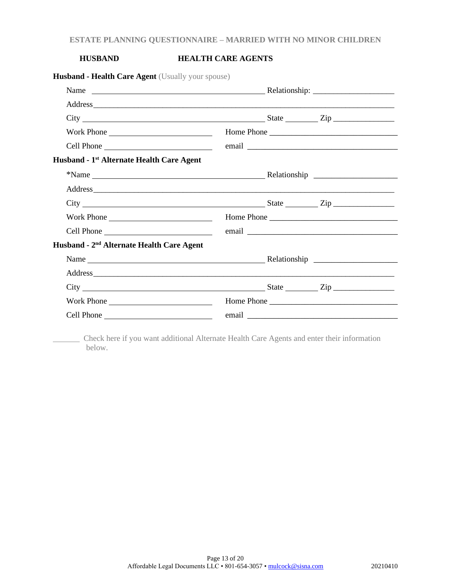# **HUSBAND HEALTH CARE AGENTS**

| Husband - Health Care Agent (Usually your spouse)     |  |            |
|-------------------------------------------------------|--|------------|
|                                                       |  |            |
|                                                       |  |            |
| $City$ $City$ $Step$ $Type$                           |  |            |
| Work Phone                                            |  | Home Phone |
|                                                       |  |            |
| Husband - 1 <sup>st</sup> Alternate Health Care Agent |  |            |
|                                                       |  |            |
|                                                       |  |            |
|                                                       |  |            |
| Work Phone                                            |  |            |
|                                                       |  |            |
| Husband - 2 <sup>nd</sup> Alternate Health Care Agent |  |            |
|                                                       |  |            |
|                                                       |  |            |
| $City$ $City$ $Step$ $Type$                           |  |            |
|                                                       |  |            |
|                                                       |  |            |

 Check here if you want additional Alternate Health Care Agents and enter their information below.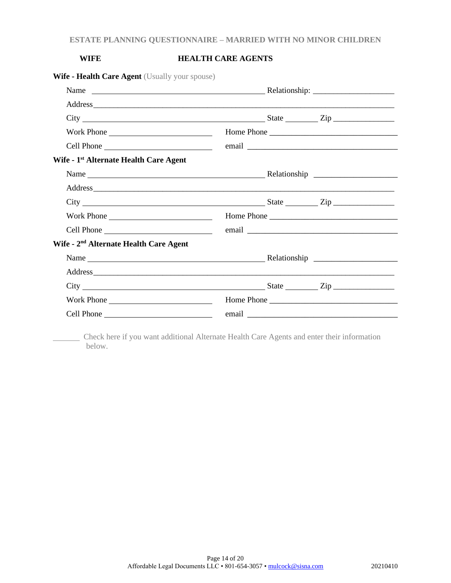# **WIFE HEALTH CARE AGENTS**

| <b>Wife - Health Care Agent</b> (Usually your spouse) |  |            |
|-------------------------------------------------------|--|------------|
|                                                       |  |            |
|                                                       |  |            |
| $City$ $City$ $Step$ $Line$                           |  |            |
| Work Phone                                            |  | Home Phone |
|                                                       |  |            |
| Wife - 1 <sup>st</sup> Alternate Health Care Agent    |  |            |
|                                                       |  |            |
|                                                       |  |            |
| $City$ $City$ $Step$ $Line$                           |  |            |
| Work Phone                                            |  | Home Phone |
| Cell Phone                                            |  |            |
| Wife - 2 <sup>nd</sup> Alternate Health Care Agent    |  |            |
| Name Relationship                                     |  |            |
|                                                       |  |            |
| $\text{City}$ $\text{City}$                           |  |            |
| Work Phone                                            |  |            |
| Cell Phone                                            |  |            |

 Check here if you want additional Alternate Health Care Agents and enter their information below.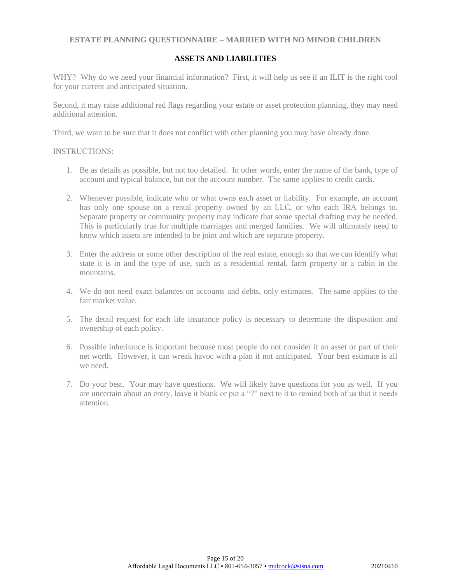## **ASSETS AND LIABILITIES**

WHY? Why do we need your financial information? First, it will help us see if an ILIT is the right tool for your current and anticipated situation.

Second, it may raise additional red flags regarding your estate or asset protection planning, they may need additional attention.

Third, we want to be sure that it does not conflict with other planning you may have already done.

#### INSTRUCTIONS:

- 1. Be as details as possible, but not too detailed. In other words, enter the name of the bank, type of account and typical balance, but not the account number. The same applies to credit cards.
- 2. Whenever possible, indicate who or what owns each asset or liability. For example, an account has only one spouse on a rental property owned by an LLC, or who each IRA belongs to. Separate property or community property may indicate that some special drafting may be needed. This is particularly true for multiple marriages and merged families. We will ultimately need to know which assets are intended to be joint and which are separate property.
- 3. Enter the address or some other description of the real estate, enough so that we can identify what state it is in and the type of use, such as a residential rental, farm property or a cabin in the mountains.
- 4. We do not need exact balances on accounts and debts, only estimates. The same applies to the fair market value.
- 5. The detail request for each life insurance policy is necessary to determine the disposition and ownership of each policy.
- 6. Possible inheritance is important because most people do not consider it an asset or part of their net worth. However, it can wreak havoc with a plan if not anticipated. Your best estimate is all we need.
- 7. Do your best. Your may have questions. We will likely have questions for you as well. If you are uncertain about an entry, leave it blank or put a "?" next to it to remind both of us that it needs attention.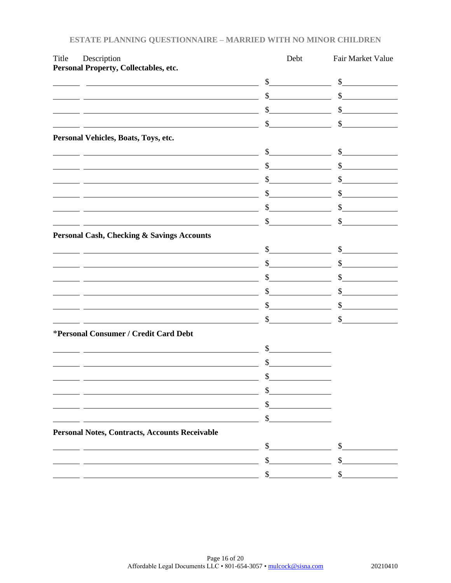| Title | Description                                                                                                                                                    | Debt                        | Fair Market Value           |
|-------|----------------------------------------------------------------------------------------------------------------------------------------------------------------|-----------------------------|-----------------------------|
|       | Personal Property, Collectables, etc.                                                                                                                          | $\sim$                      | \$                          |
|       | <u> 1980 - Johann Barbara, martxa alemaniar amerikan a</u>                                                                                                     | \$                          | $\mathbb{S}$                |
|       |                                                                                                                                                                | \$                          | \$                          |
|       |                                                                                                                                                                | \$                          | \$                          |
|       | <u> 1980 - Johann Stoff, deutscher Stoffen und der Stoffen und der Stoffen und der Stoffen und der Stoffen und der</u><br>Personal Vehicles, Boats, Toys, etc. |                             |                             |
|       | <u> 1980 - Johann Barbara, martin amerikan basar dan basar dan basar dalam basar dalam basar dalam basar dalam b</u>                                           | $\mathbb{S}$                | $\sim$                      |
|       |                                                                                                                                                                | \$                          | $\frac{\text{S}}{\text{S}}$ |
|       |                                                                                                                                                                | \$                          | \$                          |
|       | <u> 1980 - Johann Barn, mars ann an t-Amhain Aonaichte ann an t-Aonaichte ann an t-Aonaichte ann an t-Aonaichte a</u>                                          | \$                          | \$                          |
|       |                                                                                                                                                                | \$                          | $\mathbb{S}$                |
|       |                                                                                                                                                                | \$                          | \$                          |
|       | <b>Personal Cash, Checking &amp; Savings Accounts</b>                                                                                                          |                             |                             |
|       |                                                                                                                                                                | $\sim$                      | $\sim$                      |
|       |                                                                                                                                                                | \$                          | $\mathbb{S}$                |
|       |                                                                                                                                                                | \$                          | \$                          |
|       |                                                                                                                                                                | \$                          | \$                          |
|       |                                                                                                                                                                | \$                          | $\sim$ $\sim$               |
|       |                                                                                                                                                                | \$                          | \$                          |
|       | *Personal Consumer / Credit Card Debt                                                                                                                          |                             |                             |
|       |                                                                                                                                                                | $\frac{\text{S}}{\text{S}}$ |                             |
|       |                                                                                                                                                                | \$                          |                             |
|       | <u> 2001 - An Dùbhlachd ann an Dùbhad ann an Dùbhad ann an Dùbhad ann an Dùbhad ann an Dùbhad ann an Dùbhad ann a</u>                                          | $\sim$                      |                             |
|       |                                                                                                                                                                |                             |                             |
|       |                                                                                                                                                                |                             |                             |
|       |                                                                                                                                                                |                             |                             |
|       | Personal Notes, Contracts, Accounts Receivable                                                                                                                 |                             |                             |
|       |                                                                                                                                                                | \$                          |                             |
|       |                                                                                                                                                                | \$                          | \$                          |
|       |                                                                                                                                                                | \$                          | \$                          |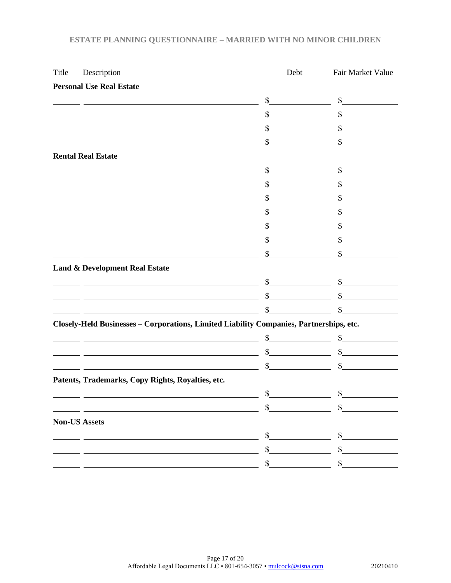| <b>Personal Use Real Estate</b><br>$\int$<br>$\mathbb{S}$<br>\$<br><u> 1989 - Johann Stoff, deutscher Stoffen und der Stoffen und der Stoffen und der Stoffen und der Stoffen und der</u><br>$\mathbb{S}$<br><b>Rental Real Estate</b><br>s<br><u> 1980 - Johann Barn, fransk politik amerikansk politik (</u><br>$\frac{1}{2}$<br>$\frac{1}{2}$<br><u> 1989 - Johann Barn, fransk politik (d. 1989)</u><br>$\mathbb{S}$<br>$\frac{1}{2}$<br>$\mathbb{S}$<br><u> 1989 - Johann Barbara, martxa alemaniar arg</u><br>$\mathbb{S}$<br><u> 1989 - Johann Stoff, deutscher Stoffen und der Stoffen und der Stoffen und der Stoffen und der Stoffen und d</u><br>$\frac{1}{2}$<br>$\mathbb{S}$<br>$\mathbb{S}$<br><b>Land &amp; Development Real Estate</b><br>$\frac{\text{S}}{\text{S}}$<br>$\mathbb{S}$<br>$\mathbb{S}$<br>Closely-Held Businesses - Corporations, Limited Liability Companies, Partnerships, etc.<br>$\frac{\text{S}}{\text{S}}$<br>$\sim$<br>$\sim$<br>$\mathbb{S}$<br>Patents, Trademarks, Copy Rights, Royalties, etc.<br>\$<br>\$<br>\$<br><b>Non-US Assets</b><br>\$<br>\$<br>\$<br>\$<br>\$<br>\$ | Title | Description | Debt | Fair Market Value                                  |
|------------------------------------------------------------------------------------------------------------------------------------------------------------------------------------------------------------------------------------------------------------------------------------------------------------------------------------------------------------------------------------------------------------------------------------------------------------------------------------------------------------------------------------------------------------------------------------------------------------------------------------------------------------------------------------------------------------------------------------------------------------------------------------------------------------------------------------------------------------------------------------------------------------------------------------------------------------------------------------------------------------------------------------------------------------------------------------------------------------------------|-------|-------------|------|----------------------------------------------------|
|                                                                                                                                                                                                                                                                                                                                                                                                                                                                                                                                                                                                                                                                                                                                                                                                                                                                                                                                                                                                                                                                                                                        |       |             |      |                                                    |
|                                                                                                                                                                                                                                                                                                                                                                                                                                                                                                                                                                                                                                                                                                                                                                                                                                                                                                                                                                                                                                                                                                                        |       |             |      | $\frac{1}{2}$                                      |
|                                                                                                                                                                                                                                                                                                                                                                                                                                                                                                                                                                                                                                                                                                                                                                                                                                                                                                                                                                                                                                                                                                                        |       |             |      | $\frac{1}{2}$                                      |
|                                                                                                                                                                                                                                                                                                                                                                                                                                                                                                                                                                                                                                                                                                                                                                                                                                                                                                                                                                                                                                                                                                                        |       |             |      | $\mathbb{S}$                                       |
|                                                                                                                                                                                                                                                                                                                                                                                                                                                                                                                                                                                                                                                                                                                                                                                                                                                                                                                                                                                                                                                                                                                        |       |             |      | $\mathbb{S}$                                       |
|                                                                                                                                                                                                                                                                                                                                                                                                                                                                                                                                                                                                                                                                                                                                                                                                                                                                                                                                                                                                                                                                                                                        |       |             |      |                                                    |
|                                                                                                                                                                                                                                                                                                                                                                                                                                                                                                                                                                                                                                                                                                                                                                                                                                                                                                                                                                                                                                                                                                                        |       |             |      | $\frac{1}{2}$                                      |
|                                                                                                                                                                                                                                                                                                                                                                                                                                                                                                                                                                                                                                                                                                                                                                                                                                                                                                                                                                                                                                                                                                                        |       |             |      |                                                    |
|                                                                                                                                                                                                                                                                                                                                                                                                                                                                                                                                                                                                                                                                                                                                                                                                                                                                                                                                                                                                                                                                                                                        |       |             |      | $\sim$ $\sim$                                      |
|                                                                                                                                                                                                                                                                                                                                                                                                                                                                                                                                                                                                                                                                                                                                                                                                                                                                                                                                                                                                                                                                                                                        |       |             |      |                                                    |
|                                                                                                                                                                                                                                                                                                                                                                                                                                                                                                                                                                                                                                                                                                                                                                                                                                                                                                                                                                                                                                                                                                                        |       |             |      | $\sim$ $\sim$                                      |
|                                                                                                                                                                                                                                                                                                                                                                                                                                                                                                                                                                                                                                                                                                                                                                                                                                                                                                                                                                                                                                                                                                                        |       |             |      | $\mathbb{S}$                                       |
|                                                                                                                                                                                                                                                                                                                                                                                                                                                                                                                                                                                                                                                                                                                                                                                                                                                                                                                                                                                                                                                                                                                        |       |             |      |                                                    |
|                                                                                                                                                                                                                                                                                                                                                                                                                                                                                                                                                                                                                                                                                                                                                                                                                                                                                                                                                                                                                                                                                                                        |       |             |      |                                                    |
|                                                                                                                                                                                                                                                                                                                                                                                                                                                                                                                                                                                                                                                                                                                                                                                                                                                                                                                                                                                                                                                                                                                        |       |             |      | s                                                  |
|                                                                                                                                                                                                                                                                                                                                                                                                                                                                                                                                                                                                                                                                                                                                                                                                                                                                                                                                                                                                                                                                                                                        |       |             |      | $\mathbb{S}$                                       |
|                                                                                                                                                                                                                                                                                                                                                                                                                                                                                                                                                                                                                                                                                                                                                                                                                                                                                                                                                                                                                                                                                                                        |       |             |      | <u> 1990 - Jan Jawa Barat, president politik (</u> |
|                                                                                                                                                                                                                                                                                                                                                                                                                                                                                                                                                                                                                                                                                                                                                                                                                                                                                                                                                                                                                                                                                                                        |       |             |      |                                                    |
|                                                                                                                                                                                                                                                                                                                                                                                                                                                                                                                                                                                                                                                                                                                                                                                                                                                                                                                                                                                                                                                                                                                        |       |             |      | $\frac{1}{2}$                                      |
|                                                                                                                                                                                                                                                                                                                                                                                                                                                                                                                                                                                                                                                                                                                                                                                                                                                                                                                                                                                                                                                                                                                        |       |             |      | $\frac{1}{2}$                                      |
|                                                                                                                                                                                                                                                                                                                                                                                                                                                                                                                                                                                                                                                                                                                                                                                                                                                                                                                                                                                                                                                                                                                        |       |             |      |                                                    |
|                                                                                                                                                                                                                                                                                                                                                                                                                                                                                                                                                                                                                                                                                                                                                                                                                                                                                                                                                                                                                                                                                                                        |       |             |      |                                                    |
|                                                                                                                                                                                                                                                                                                                                                                                                                                                                                                                                                                                                                                                                                                                                                                                                                                                                                                                                                                                                                                                                                                                        |       |             |      |                                                    |
|                                                                                                                                                                                                                                                                                                                                                                                                                                                                                                                                                                                                                                                                                                                                                                                                                                                                                                                                                                                                                                                                                                                        |       |             |      |                                                    |
|                                                                                                                                                                                                                                                                                                                                                                                                                                                                                                                                                                                                                                                                                                                                                                                                                                                                                                                                                                                                                                                                                                                        |       |             |      |                                                    |
|                                                                                                                                                                                                                                                                                                                                                                                                                                                                                                                                                                                                                                                                                                                                                                                                                                                                                                                                                                                                                                                                                                                        |       |             |      |                                                    |
|                                                                                                                                                                                                                                                                                                                                                                                                                                                                                                                                                                                                                                                                                                                                                                                                                                                                                                                                                                                                                                                                                                                        |       |             |      |                                                    |
|                                                                                                                                                                                                                                                                                                                                                                                                                                                                                                                                                                                                                                                                                                                                                                                                                                                                                                                                                                                                                                                                                                                        |       |             |      |                                                    |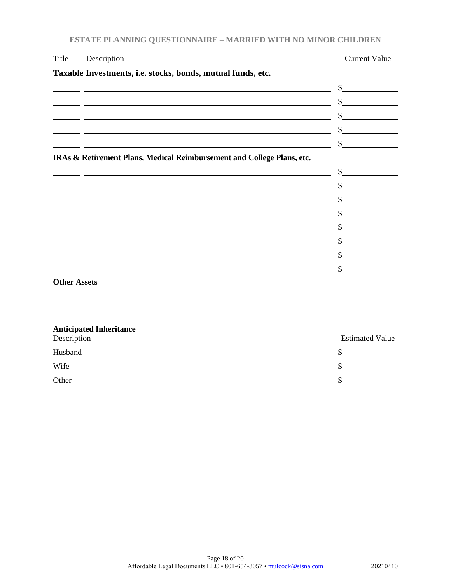| Title               | Description                                                                                                            | <b>Current Value</b>        |
|---------------------|------------------------------------------------------------------------------------------------------------------------|-----------------------------|
|                     | Taxable Investments, i.e. stocks, bonds, mutual funds, etc.                                                            |                             |
|                     |                                                                                                                        | $\frac{1}{2}$               |
|                     | <u> 1980 - Andrea Barbara, amerikan personal (h. 1980).</u>                                                            | s                           |
|                     | <u> 1989 - Johann Stoff, deutscher Stoffen und der Stoffen und der Stoffen und der Stoffen und der Stoffen und der</u> | $\sim$                      |
|                     | <u> 1990 - Jan Samuel Barbara, martin al-Amerikaansk politiker (d. 1980)</u>                                           | $\frac{1}{2}$               |
|                     |                                                                                                                        | $\frac{1}{\sqrt{2}}$        |
|                     | IRAs & Retirement Plans, Medical Reimbursement and College Plans, etc.                                                 |                             |
|                     | <u> 1989 - Johann Stoff, deutscher Stoffen und der Stoffen und der Stoffen und der Stoffen und der Stoffen und d</u>   | s                           |
|                     | <u> 2002 - Antonio Alemania, prima prestava a prestava a starija predsjednje prestava a predsjednje predsjednje</u>    | $\frac{\sqrt{2}}{2}$        |
|                     | <u> 1989 - Johann Stoff, amerikansk politiker (* 1908)</u>                                                             | $\frac{\text{S}}{\text{S}}$ |
|                     |                                                                                                                        | $\frac{\text{S}}{\text{S}}$ |
|                     |                                                                                                                        | $\sim$                      |
|                     | <u> 1989 - Johann Barn, mars and deutscher Stadt and deutscher Stadt and deutscher Stadt and deutscher Stadt and</u>   | $\frac{\text{S}}{\text{S}}$ |
|                     |                                                                                                                        | $\frac{1}{2}$               |
|                     |                                                                                                                        | $\frac{1}{2}$               |
| <b>Other Assets</b> |                                                                                                                        |                             |
|                     |                                                                                                                        |                             |
|                     | <b>Anticipated Inheritance</b>                                                                                         |                             |
| Description         |                                                                                                                        | <b>Estimated Value</b>      |
|                     |                                                                                                                        | \$                          |
|                     |                                                                                                                        | \$                          |
| Other               |                                                                                                                        | \$                          |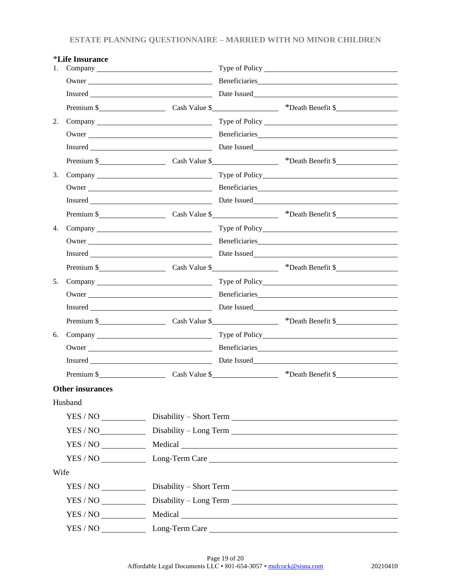|      | <i>*Life Insurance</i>  |  |                                                                                                                                                                                                                                                                   |
|------|-------------------------|--|-------------------------------------------------------------------------------------------------------------------------------------------------------------------------------------------------------------------------------------------------------------------|
| 1.   |                         |  |                                                                                                                                                                                                                                                                   |
|      |                         |  |                                                                                                                                                                                                                                                                   |
|      |                         |  |                                                                                                                                                                                                                                                                   |
|      |                         |  | Premium \$                                                                                                                                                                                                                                                        |
| 2.   |                         |  |                                                                                                                                                                                                                                                                   |
|      |                         |  | Owner Neuron and Beneficiaries <b>Example 2018</b> Beneficiaries <b>Example 2018</b> Beneficiaries <b>Example 2018</b> Beneficiaries <b>Example 2018</b> Beneficiaries <b>Example 2018</b> Beneficiaries <b>Example 2018</b> Beneficiaries <b>Example 2018</b> Be |
|      |                         |  |                                                                                                                                                                                                                                                                   |
|      |                         |  | Premium \$                                                                                                                                                                                                                                                        |
| 3.   |                         |  |                                                                                                                                                                                                                                                                   |
|      |                         |  |                                                                                                                                                                                                                                                                   |
|      |                         |  |                                                                                                                                                                                                                                                                   |
|      |                         |  | Premium \$ Cash Value \$ *Death Benefit \$                                                                                                                                                                                                                        |
| 4.   |                         |  |                                                                                                                                                                                                                                                                   |
|      |                         |  |                                                                                                                                                                                                                                                                   |
|      |                         |  |                                                                                                                                                                                                                                                                   |
|      |                         |  | Premium \$                                                                                                                                                                                                                                                        |
| 5.   |                         |  |                                                                                                                                                                                                                                                                   |
|      |                         |  |                                                                                                                                                                                                                                                                   |
|      |                         |  |                                                                                                                                                                                                                                                                   |
|      |                         |  | Premium \$                                                                                                                                                                                                                                                        |
| 6.   |                         |  |                                                                                                                                                                                                                                                                   |
|      |                         |  |                                                                                                                                                                                                                                                                   |
|      |                         |  |                                                                                                                                                                                                                                                                   |
|      |                         |  | Premium \$                                                                                                                                                                                                                                                        |
|      | <b>Other insurances</b> |  |                                                                                                                                                                                                                                                                   |
|      | Husband                 |  |                                                                                                                                                                                                                                                                   |
|      |                         |  |                                                                                                                                                                                                                                                                   |
|      |                         |  | YES / NO ________________ Disability - Long Term ________________________________                                                                                                                                                                                 |
|      |                         |  |                                                                                                                                                                                                                                                                   |
|      |                         |  |                                                                                                                                                                                                                                                                   |
| Wife |                         |  |                                                                                                                                                                                                                                                                   |
|      |                         |  |                                                                                                                                                                                                                                                                   |
|      |                         |  | YES / NO ________________Disability - Long Term _________________________________                                                                                                                                                                                 |
|      |                         |  | $YES / NO$ Medical Medical                                                                                                                                                                                                                                        |
|      |                         |  |                                                                                                                                                                                                                                                                   |